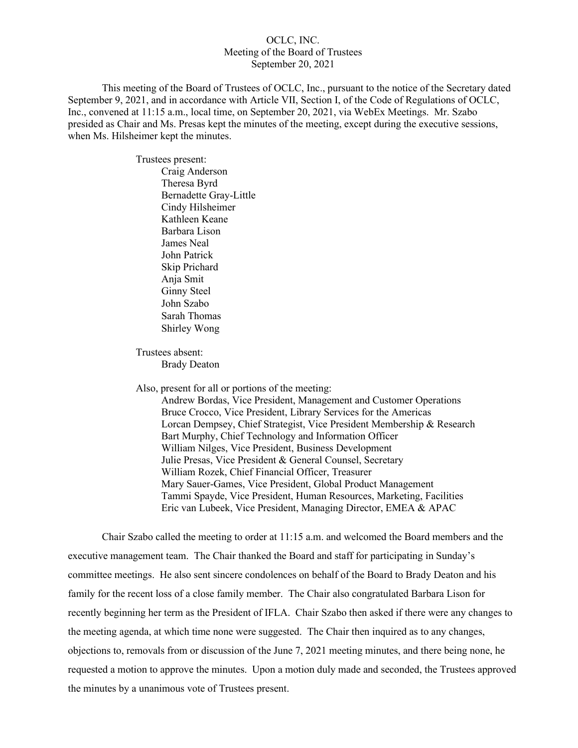# OCLC, INC. Meeting of the Board of Trustees September 20, 2021

This meeting of the Board of Trustees of OCLC, Inc., pursuant to the notice of the Secretary dated September 9, 2021, and in accordance with Article VII, Section I, of the Code of Regulations of OCLC, Inc., convened at 11:15 a.m., local time, on September 20, 2021, via WebEx Meetings. Mr. Szabo presided as Chair and Ms. Presas kept the minutes of the meeting, except during the executive sessions, when Ms. Hilsheimer kept the minutes.

> Trustees present: Craig Anderson Theresa Byrd Bernadette Gray-Little Cindy Hilsheimer Kathleen Keane Barbara Lison James Neal John Patrick Skip Prichard Anja Smit Ginny Steel John Szabo Sarah Thomas Shirley Wong

Trustees absent: Brady Deaton

Also, present for all or portions of the meeting:

Andrew Bordas, Vice President, Management and Customer Operations Bruce Crocco, Vice President, Library Services for the Americas Lorcan Dempsey, Chief Strategist, Vice President Membership & Research Bart Murphy, Chief Technology and Information Officer William Nilges, Vice President, Business Development Julie Presas, Vice President & General Counsel, Secretary William Rozek, Chief Financial Officer, Treasurer Mary Sauer-Games, Vice President, Global Product Management Tammi Spayde, Vice President, Human Resources, Marketing, Facilities Eric van Lubeek, Vice President, Managing Director, EMEA & APAC

Chair Szabo called the meeting to order at 11:15 a.m. and welcomed the Board members and the executive management team. The Chair thanked the Board and staff for participating in Sunday's committee meetings. He also sent sincere condolences on behalf of the Board to Brady Deaton and his family for the recent loss of a close family member. The Chair also congratulated Barbara Lison for recently beginning her term as the President of IFLA. Chair Szabo then asked if there were any changes to the meeting agenda, at which time none were suggested. The Chair then inquired as to any changes, objections to, removals from or discussion of the June 7, 2021 meeting minutes, and there being none, he requested a motion to approve the minutes. Upon a motion duly made and seconded, the Trustees approved the minutes by a unanimous vote of Trustees present.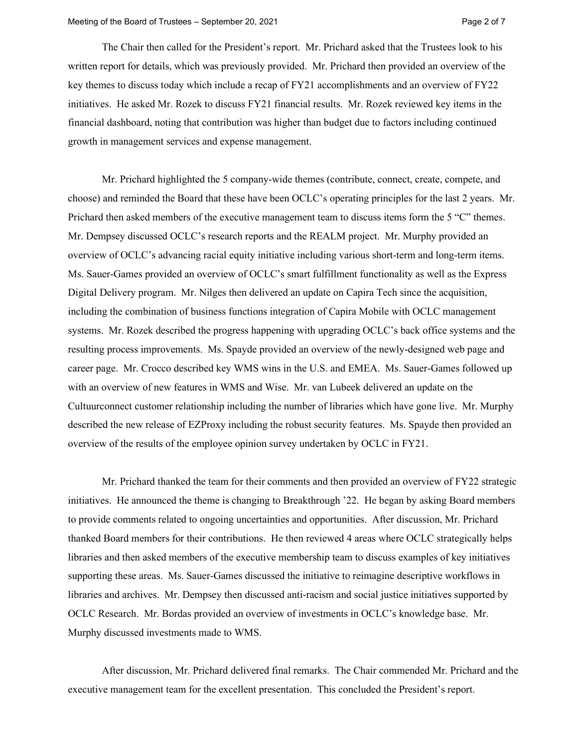The Chair then called for the President's report. Mr. Prichard asked that the Trustees look to his written report for details, which was previously provided. Mr. Prichard then provided an overview of the key themes to discuss today which include a recap of FY21 accomplishments and an overview of FY22 initiatives. He asked Mr. Rozek to discuss FY21 financial results. Mr. Rozek reviewed key items in the financial dashboard, noting that contribution was higher than budget due to factors including continued growth in management services and expense management.

Mr. Prichard highlighted the 5 company-wide themes (contribute, connect, create, compete, and choose) and reminded the Board that these have been OCLC's operating principles for the last 2 years. Mr. Prichard then asked members of the executive management team to discuss items form the 5 "C" themes. Mr. Dempsey discussed OCLC's research reports and the REALM project. Mr. Murphy provided an overview of OCLC's advancing racial equity initiative including various short-term and long-term items. Ms. Sauer-Games provided an overview of OCLC's smart fulfillment functionality as well as the Express Digital Delivery program. Mr. Nilges then delivered an update on Capira Tech since the acquisition, including the combination of business functions integration of Capira Mobile with OCLC management systems. Mr. Rozek described the progress happening with upgrading OCLC's back office systems and the resulting process improvements. Ms. Spayde provided an overview of the newly-designed web page and career page. Mr. Crocco described key WMS wins in the U.S. and EMEA. Ms. Sauer-Games followed up with an overview of new features in WMS and Wise. Mr. van Lubeek delivered an update on the Cultuurconnect customer relationship including the number of libraries which have gone live. Mr. Murphy described the new release of EZProxy including the robust security features. Ms. Spayde then provided an overview of the results of the employee opinion survey undertaken by OCLC in FY21.

Mr. Prichard thanked the team for their comments and then provided an overview of FY22 strategic initiatives. He announced the theme is changing to Breakthrough '22. He began by asking Board members to provide comments related to ongoing uncertainties and opportunities. After discussion, Mr. Prichard thanked Board members for their contributions. He then reviewed 4 areas where OCLC strategically helps libraries and then asked members of the executive membership team to discuss examples of key initiatives supporting these areas. Ms. Sauer-Games discussed the initiative to reimagine descriptive workflows in libraries and archives. Mr. Dempsey then discussed anti-racism and social justice initiatives supported by OCLC Research. Mr. Bordas provided an overview of investments in OCLC's knowledge base. Mr. Murphy discussed investments made to WMS.

After discussion, Mr. Prichard delivered final remarks. The Chair commended Mr. Prichard and the executive management team for the excellent presentation. This concluded the President's report.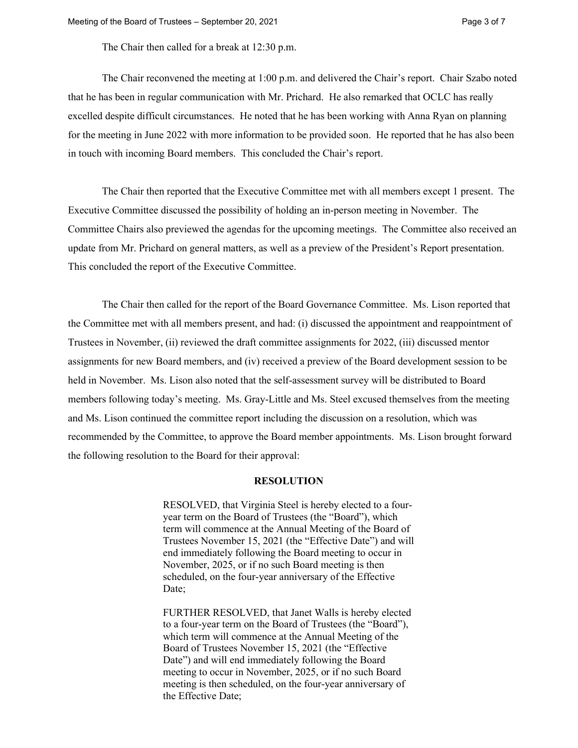The Chair then called for a break at 12:30 p.m.

The Chair reconvened the meeting at 1:00 p.m. and delivered the Chair's report. Chair Szabo noted that he has been in regular communication with Mr. Prichard. He also remarked that OCLC has really excelled despite difficult circumstances. He noted that he has been working with Anna Ryan on planning for the meeting in June 2022 with more information to be provided soon. He reported that he has also been in touch with incoming Board members. This concluded the Chair's report.

The Chair then reported that the Executive Committee met with all members except 1 present. The Executive Committee discussed the possibility of holding an in-person meeting in November. The Committee Chairs also previewed the agendas for the upcoming meetings. The Committee also received an update from Mr. Prichard on general matters, as well as a preview of the President's Report presentation. This concluded the report of the Executive Committee.

The Chair then called for the report of the Board Governance Committee. Ms. Lison reported that the Committee met with all members present, and had: (i) discussed the appointment and reappointment of Trustees in November, (ii) reviewed the draft committee assignments for 2022, (iii) discussed mentor assignments for new Board members, and (iv) received a preview of the Board development session to be held in November. Ms. Lison also noted that the self-assessment survey will be distributed to Board members following today's meeting. Ms. Gray-Little and Ms. Steel excused themselves from the meeting and Ms. Lison continued the committee report including the discussion on a resolution, which was recommended by the Committee, to approve the Board member appointments. Ms. Lison brought forward the following resolution to the Board for their approval:

#### **RESOLUTION**

RESOLVED, that Virginia Steel is hereby elected to a fouryear term on the Board of Trustees (the "Board"), which term will commence at the Annual Meeting of the Board of Trustees November 15, 2021 (the "Effective Date") and will end immediately following the Board meeting to occur in November, 2025, or if no such Board meeting is then scheduled, on the four-year anniversary of the Effective Date;

FURTHER RESOLVED, that Janet Walls is hereby elected to a four-year term on the Board of Trustees (the "Board"), which term will commence at the Annual Meeting of the Board of Trustees November 15, 2021 (the "Effective Date") and will end immediately following the Board meeting to occur in November, 2025, or if no such Board meeting is then scheduled, on the four-year anniversary of the Effective Date;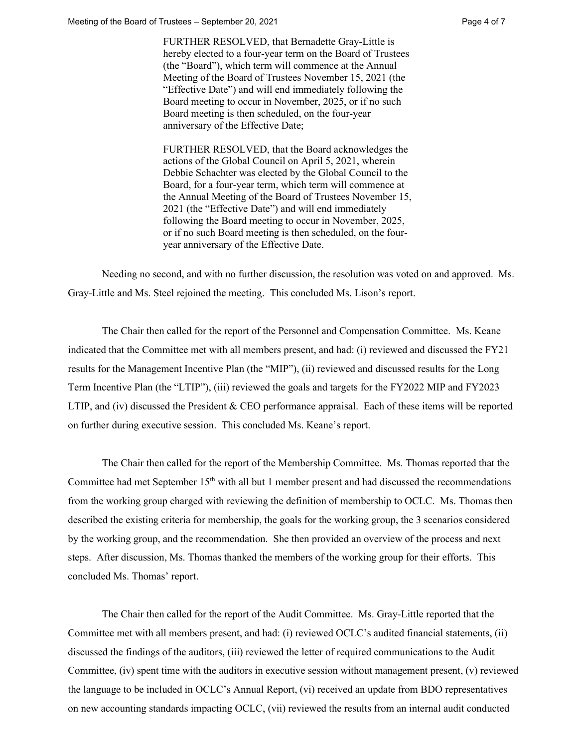FURTHER RESOLVED, that Bernadette Gray-Little is hereby elected to a four-year term on the Board of Trustees (the "Board"), which term will commence at the Annual Meeting of the Board of Trustees November 15, 2021 (the "Effective Date") and will end immediately following the Board meeting to occur in November, 2025, or if no such Board meeting is then scheduled, on the four-year anniversary of the Effective Date;

FURTHER RESOLVED, that the Board acknowledges the actions of the Global Council on April 5, 2021, wherein Debbie Schachter was elected by the Global Council to the Board, for a four-year term, which term will commence at the Annual Meeting of the Board of Trustees November 15, 2021 (the "Effective Date") and will end immediately following the Board meeting to occur in November, 2025, or if no such Board meeting is then scheduled, on the fouryear anniversary of the Effective Date.

Needing no second, and with no further discussion, the resolution was voted on and approved. Ms. Gray-Little and Ms. Steel rejoined the meeting. This concluded Ms. Lison's report.

The Chair then called for the report of the Personnel and Compensation Committee. Ms. Keane indicated that the Committee met with all members present, and had: (i) reviewed and discussed the FY21 results for the Management Incentive Plan (the "MIP"), (ii) reviewed and discussed results for the Long Term Incentive Plan (the "LTIP"), (iii) reviewed the goals and targets for the FY2022 MIP and FY2023 LTIP, and (iv) discussed the President & CEO performance appraisal. Each of these items will be reported on further during executive session. This concluded Ms. Keane's report.

The Chair then called for the report of the Membership Committee. Ms. Thomas reported that the Committee had met September 15<sup>th</sup> with all but 1 member present and had discussed the recommendations from the working group charged with reviewing the definition of membership to OCLC. Ms. Thomas then described the existing criteria for membership, the goals for the working group, the 3 scenarios considered by the working group, and the recommendation. She then provided an overview of the process and next steps. After discussion, Ms. Thomas thanked the members of the working group for their efforts. This concluded Ms. Thomas' report.

The Chair then called for the report of the Audit Committee. Ms. Gray-Little reported that the Committee met with all members present, and had: (i) reviewed OCLC's audited financial statements, (ii) discussed the findings of the auditors, (iii) reviewed the letter of required communications to the Audit Committee, (iv) spent time with the auditors in executive session without management present, (v) reviewed the language to be included in OCLC's Annual Report, (vi) received an update from BDO representatives on new accounting standards impacting OCLC, (vii) reviewed the results from an internal audit conducted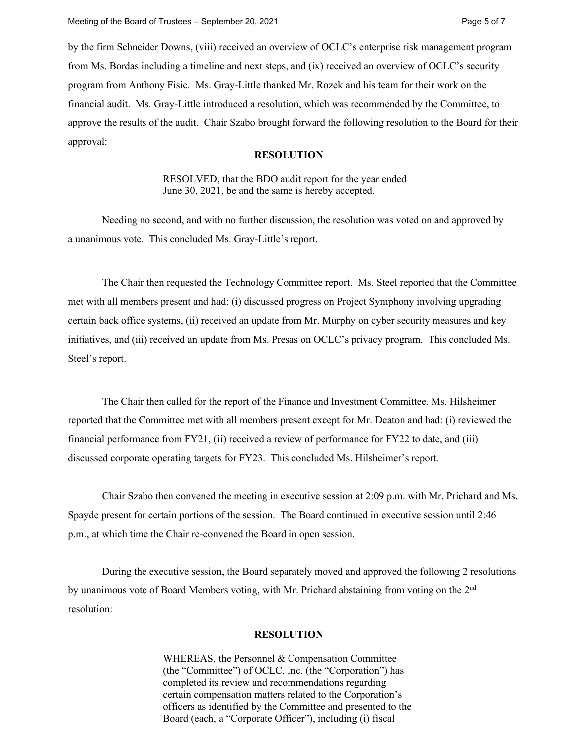by the firm Schneider Downs, (viii) received an overview of OCLC's enterprise risk management program from Ms. Bordas including a timeline and next steps, and (ix) received an overview of OCLC's security program from Anthony Fisic. Ms. Gray-Little thanked Mr. Rozek and his team for their work on the financial audit. Ms. Gray-Little introduced a resolution, which was recommended by the Committee, to approve the results of the audit. Chair Szabo brought forward the following resolution to the Board for their approval:

# **RESOLUTION**

RESOLVED, that the BDO audit report for the year ended June 30, 2021, be and the same is hereby accepted.

Needing no second, and with no further discussion, the resolution was voted on and approved by a unanimous vote. This concluded Ms. Gray-Little's report.

The Chair then requested the Technology Committee report. Ms. Steel reported that the Committee met with all members present and had: (i) discussed progress on Project Symphony involving upgrading certain back office systems, (ii) received an update from Mr. Murphy on cyber security measures and key initiatives, and (iii) received an update from Ms. Presas on OCLC's privacy program. This concluded Ms. Steel's report.

The Chair then called for the report of the Finance and Investment Committee. Ms. Hilsheimer reported that the Committee met with all members present except for Mr. Deaton and had: (i) reviewed the financial performance from FY21, (ii) received a review of performance for FY22 to date, and (iii) discussed corporate operating targets for FY23. This concluded Ms. Hilsheimer's report.

Chair Szabo then convened the meeting in executive session at 2:09 p.m. with Mr. Prichard and Ms. Spayde present for certain portions of the session. The Board continued in executive session until 2:46 p.m., at which time the Chair re-convened the Board in open session.

During the executive session, the Board separately moved and approved the following 2 resolutions by unanimous vote of Board Members voting, with Mr. Prichard abstaining from voting on the 2nd resolution:

# **RESOLUTION**

WHEREAS, the Personnel & Compensation Committee (the "Committee") of OCLC, Inc. (the "Corporation") has completed its review and recommendations regarding certain compensation matters related to the Corporation's officers as identified by the Committee and presented to the Board (each, a "Corporate Officer"), including (i) fiscal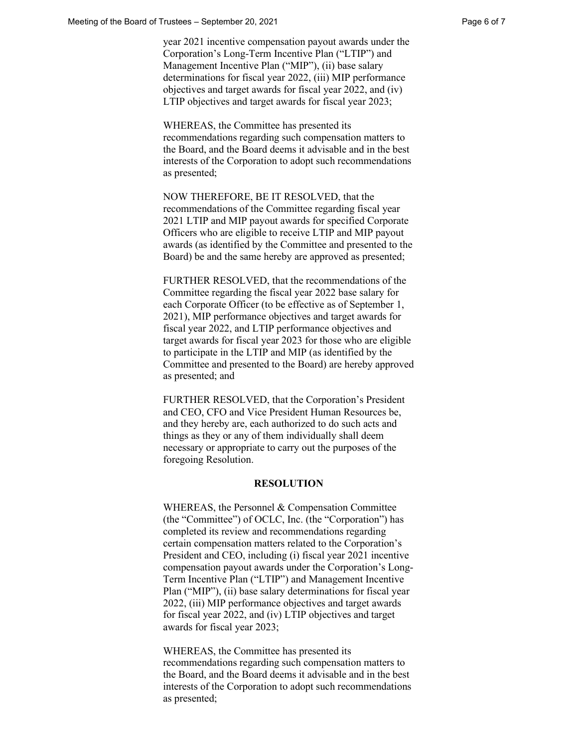year 2021 incentive compensation payout awards under the Corporation's Long-Term Incentive Plan ("LTIP") and Management Incentive Plan ("MIP"), (ii) base salary determinations for fiscal year 2022, (iii) MIP performance objectives and target awards for fiscal year 2022, and (iv) LTIP objectives and target awards for fiscal year 2023;

WHEREAS, the Committee has presented its recommendations regarding such compensation matters to the Board, and the Board deems it advisable and in the best interests of the Corporation to adopt such recommendations as presented;

NOW THEREFORE, BE IT RESOLVED, that the recommendations of the Committee regarding fiscal year 2021 LTIP and MIP payout awards for specified Corporate Officers who are eligible to receive LTIP and MIP payout awards (as identified by the Committee and presented to the Board) be and the same hereby are approved as presented;

FURTHER RESOLVED, that the recommendations of the Committee regarding the fiscal year 2022 base salary for each Corporate Officer (to be effective as of September 1, 2021), MIP performance objectives and target awards for fiscal year 2022, and LTIP performance objectives and target awards for fiscal year 2023 for those who are eligible to participate in the LTIP and MIP (as identified by the Committee and presented to the Board) are hereby approved as presented; and

FURTHER RESOLVED, that the Corporation's President and CEO, CFO and Vice President Human Resources be, and they hereby are, each authorized to do such acts and things as they or any of them individually shall deem necessary or appropriate to carry out the purposes of the foregoing Resolution.

### **RESOLUTION**

WHEREAS, the Personnel & Compensation Committee (the "Committee") of OCLC, Inc. (the "Corporation") has completed its review and recommendations regarding certain compensation matters related to the Corporation's President and CEO, including (i) fiscal year 2021 incentive compensation payout awards under the Corporation's Long-Term Incentive Plan ("LTIP") and Management Incentive Plan ("MIP"), (ii) base salary determinations for fiscal year 2022, (iii) MIP performance objectives and target awards for fiscal year 2022, and (iv) LTIP objectives and target awards for fiscal year 2023;

WHEREAS, the Committee has presented its recommendations regarding such compensation matters to the Board, and the Board deems it advisable and in the best interests of the Corporation to adopt such recommendations as presented;